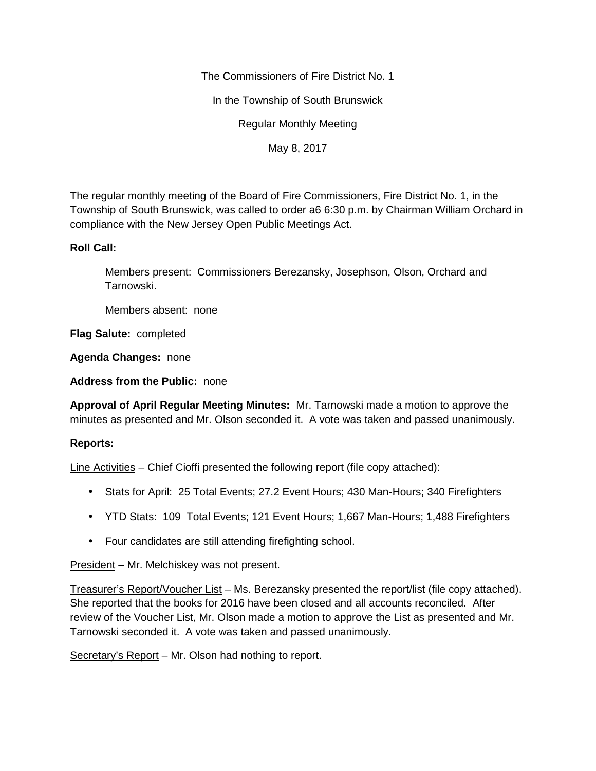The Commissioners of Fire District No. 1

In the Township of South Brunswick

Regular Monthly Meeting

May 8, 2017

The regular monthly meeting of the Board of Fire Commissioners, Fire District No. 1, in the Township of South Brunswick, was called to order a6 6:30 p.m. by Chairman William Orchard in compliance with the New Jersey Open Public Meetings Act.

## **Roll Call:**

Members present: Commissioners Berezansky, Josephson, Olson, Orchard and Tarnowski.

Members absent: none

**Flag Salute:** completed

**Agenda Changes:** none

**Address from the Public:** none

**Approval of April Regular Meeting Minutes:** Mr. Tarnowski made a motion to approve the minutes as presented and Mr. Olson seconded it. A vote was taken and passed unanimously.

## **Reports:**

Line Activities – Chief Cioffi presented the following report (file copy attached):

- Stats for April: 25 Total Events; 27.2 Event Hours; 430 Man-Hours; 340 Firefighters
- YTD Stats: 109 Total Events; 121 Event Hours; 1,667 Man-Hours; 1,488 Firefighters
- Four candidates are still attending firefighting school.

President – Mr. Melchiskey was not present.

Treasurer's Report/Voucher List – Ms. Berezansky presented the report/list (file copy attached). She reported that the books for 2016 have been closed and all accounts reconciled. After review of the Voucher List, Mr. Olson made a motion to approve the List as presented and Mr. Tarnowski seconded it. A vote was taken and passed unanimously.

Secretary's Report – Mr. Olson had nothing to report.